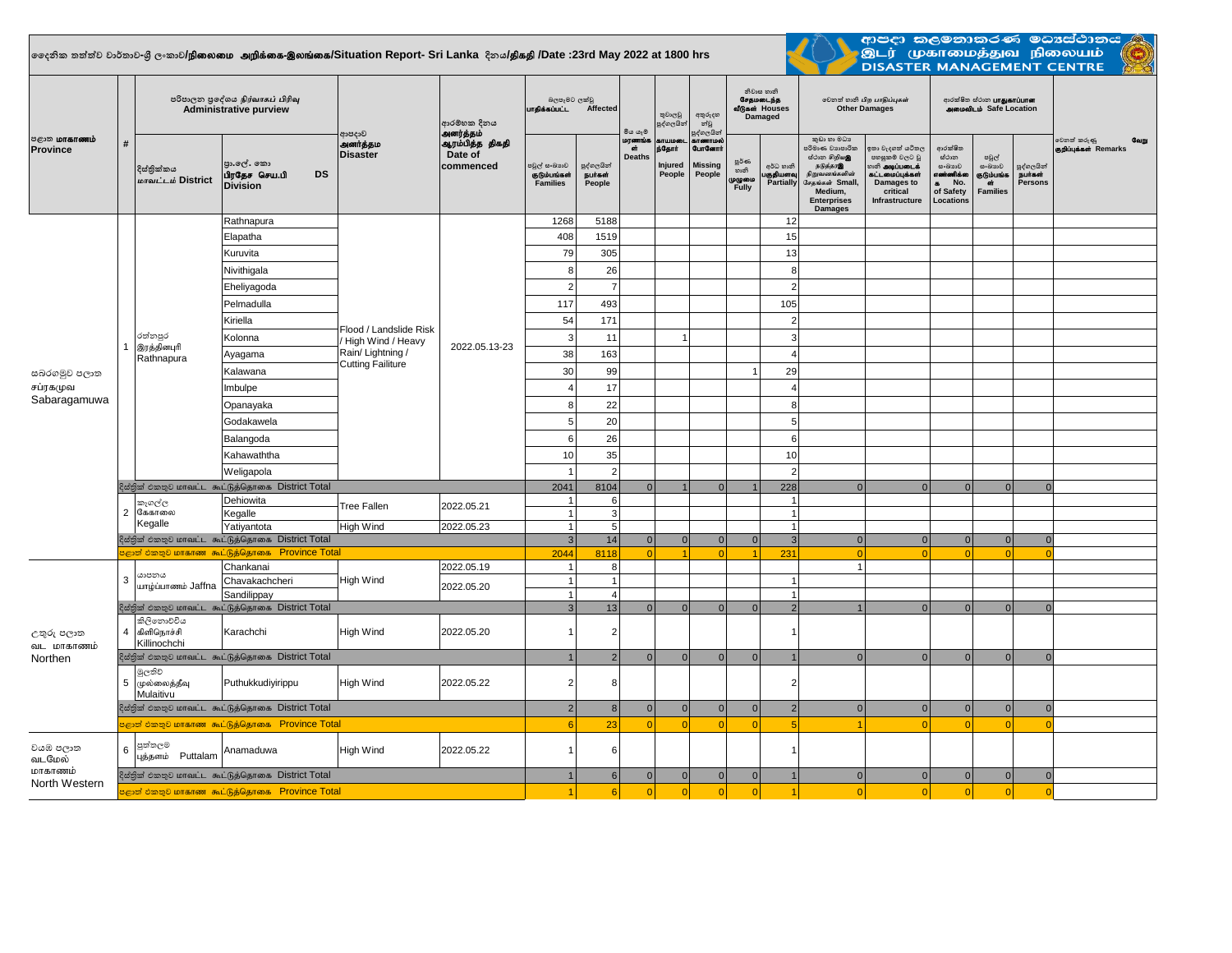## **දදනික තත්ත්ව වාර්තාව-ශ්රී ලංකාව/**epiyik mwpf;if-,yq;if**/Situation Report- Sri Lanka දිනය/**jpfjp **/Date :23rd May 2022 at 1800 hrs**



ආපදා කලමනාකරණ මධාාස්ථානය <mark>ම</mark> .<br>இடர் முகாமைத்துவ நிலையம்<br>DISASTER MANAGEMENT CENTRE

| <b>8</b> ருமாகாணம்<br>Province           | #            | පරිපාලන පුදේශය நிர்வாகப் பிரிவு<br><b>Administrative purview</b> |                                                                  |                                                                                             | ආරම්භක දිනය<br>அனர்த்தம்                | බලපෑමට ලක්වු<br>பாதிக்கப்பட்ட<br>Affected       |                                 | මිය යෑම                       | තුවාලවු<br>පුද්ගලයින්                          | අතුරුදහ<br>න්වූ<br>පුද්ගලයින්                          |                                            | නිවාස හානි<br>சேதமடைந்த<br>வீடுகள் Houses<br>Damaged | லிறை வேகி பிற பாதிப்புகள்<br><b>Other Damages</b>                                                                                                  |                                                                                                                            | ආරක්ෂිත ස්ථාන <b>பாதுகாப்பான</b><br><b>AMMONILID</b> Safe Location                    |                                                             |                                        |                                              |
|------------------------------------------|--------------|------------------------------------------------------------------|------------------------------------------------------------------|---------------------------------------------------------------------------------------------|-----------------------------------------|-------------------------------------------------|---------------------------------|-------------------------------|------------------------------------------------|--------------------------------------------------------|--------------------------------------------|------------------------------------------------------|----------------------------------------------------------------------------------------------------------------------------------------------------|----------------------------------------------------------------------------------------------------------------------------|---------------------------------------------------------------------------------------|-------------------------------------------------------------|----------------------------------------|----------------------------------------------|
|                                          |              | දිස්තික්කය<br>மாவட்டம் District                                  | පා.ලේ. කො<br><b>DS</b><br>பிரதேச செய.பி<br><b>Division</b>       | ආපදාව<br>அனர்த்தம<br><b>Disaster</b>                                                        | ஆரம்பித்த திகதி<br>Date of<br>commenced | පවුල් සංඛායව<br>குடும்பங்கள்<br><b>Families</b> | පුද්ගලයින්<br>நபர்கள்<br>People | மரணங்<br>์ด่<br><b>Deaths</b> | <b>STULIOSO</b><br>ந்தோர்<br>Injured<br>People | காணாமல்<br><b>GunGernt</b><br><b>Missing</b><br>People | ల్లరి లా<br>හානි<br>முழுமை<br><b>Fully</b> | අර්ධ හානි<br>குதியளவு<br><b>Partially</b>            | කුඩා හා මධා<br>පරිමාණ වාාපාරික<br>ස්ථාන හිඹු පෙ<br>நடுத்தரஇ<br>நிறுவனங்களின்<br>சேதங்கள் Small,<br>Medium,<br><b>Enterprises</b><br><b>Damages</b> | ඉතා වැදගත් යටිතල<br>පහසුකම් වලට වූ<br>ைக <b>் அடிப்படைக்</b><br>கட்டமைப்பக்கள்<br>Damages to<br>critical<br>Infrastructure | ආරක්ෂිත<br>ස්ථාන<br>යංඛාාව<br>எண்ணிக்கை<br>No.<br>$\bullet$<br>of Safety<br>Locations | පවුල්<br>සංඛාගව<br>கும்பங்க<br><b>GT</b><br><b>Families</b> | පුද්ගලයින්<br><b>Buraci</b><br>Persons | වෙනත් කරුණු<br>வேறு<br>குறிப்புக்கள் Remarks |
|                                          |              |                                                                  | Rathnapura                                                       | Flood / Landslide Risk<br>High Wind / Heavy<br>Rain/Lightning /<br><b>Cutting Failiture</b> | 2022.05.13-23                           | 1268                                            | 5188                            |                               |                                                |                                                        |                                            | 12                                                   |                                                                                                                                                    |                                                                                                                            |                                                                                       |                                                             |                                        |                                              |
|                                          |              |                                                                  | Elapatha                                                         |                                                                                             |                                         | 408                                             | 1519                            |                               |                                                |                                                        |                                            | 15                                                   |                                                                                                                                                    |                                                                                                                            |                                                                                       |                                                             |                                        |                                              |
|                                          |              |                                                                  | Kuruvita                                                         |                                                                                             |                                         | 79                                              | 305                             |                               |                                                |                                                        |                                            | 13                                                   |                                                                                                                                                    |                                                                                                                            |                                                                                       |                                                             |                                        |                                              |
|                                          |              |                                                                  | Nivithigala                                                      |                                                                                             |                                         | 8                                               | 26                              |                               |                                                |                                                        |                                            | 8                                                    |                                                                                                                                                    |                                                                                                                            |                                                                                       |                                                             |                                        |                                              |
| සබරගමුව පලාත<br>சப்ரகமுவ<br>Sabaragamuwa | $\mathbf{1}$ |                                                                  | Eheliyagoda                                                      |                                                                                             |                                         |                                                 | $\overline{7}$                  |                               |                                                |                                                        |                                            | $\overline{2}$                                       |                                                                                                                                                    |                                                                                                                            |                                                                                       |                                                             |                                        |                                              |
|                                          |              |                                                                  | Pelmadulla                                                       |                                                                                             |                                         | 117                                             | 493                             |                               |                                                |                                                        |                                            | 105                                                  |                                                                                                                                                    |                                                                                                                            |                                                                                       |                                                             |                                        |                                              |
|                                          |              |                                                                  | Kiriella                                                         |                                                                                             |                                         | 54                                              | 171                             |                               |                                                |                                                        |                                            | $\overline{2}$                                       |                                                                                                                                                    |                                                                                                                            |                                                                                       |                                                             |                                        |                                              |
|                                          |              | රත්නපුර<br>இரத்தினபுரி<br>Rathnapura                             | Kolonna                                                          |                                                                                             |                                         | 3                                               | 11                              |                               | $\overline{1}$                                 |                                                        |                                            | $\mathbf{3}$                                         |                                                                                                                                                    |                                                                                                                            |                                                                                       |                                                             |                                        |                                              |
|                                          |              |                                                                  | Ayagama                                                          |                                                                                             |                                         | 38                                              | 163                             |                               |                                                |                                                        |                                            | $\overline{A}$                                       |                                                                                                                                                    |                                                                                                                            |                                                                                       |                                                             |                                        |                                              |
|                                          |              |                                                                  | Kalawana                                                         |                                                                                             |                                         | 30                                              | 99                              |                               |                                                |                                                        | $\overline{1}$                             | 29                                                   |                                                                                                                                                    |                                                                                                                            |                                                                                       |                                                             |                                        |                                              |
|                                          |              |                                                                  | Imbulpe                                                          |                                                                                             |                                         |                                                 | 17                              |                               |                                                |                                                        |                                            | $\overline{4}$                                       |                                                                                                                                                    |                                                                                                                            |                                                                                       |                                                             |                                        |                                              |
|                                          |              |                                                                  | Opanayaka                                                        |                                                                                             |                                         | 8                                               | 22                              |                               |                                                |                                                        |                                            | 8                                                    |                                                                                                                                                    |                                                                                                                            |                                                                                       |                                                             |                                        |                                              |
|                                          |              |                                                                  | Godakawela                                                       |                                                                                             |                                         |                                                 | 20                              |                               |                                                |                                                        |                                            | 5                                                    |                                                                                                                                                    |                                                                                                                            |                                                                                       |                                                             |                                        |                                              |
|                                          |              |                                                                  | Balangoda                                                        |                                                                                             |                                         | 6                                               | 26                              |                               |                                                |                                                        |                                            | 6                                                    |                                                                                                                                                    |                                                                                                                            |                                                                                       |                                                             |                                        |                                              |
|                                          |              |                                                                  | Kahawaththa                                                      |                                                                                             |                                         | 10                                              | 35<br>10                        |                               |                                                |                                                        |                                            |                                                      |                                                                                                                                                    |                                                                                                                            |                                                                                       |                                                             |                                        |                                              |
|                                          |              |                                                                  | Weligapola                                                       |                                                                                             |                                         |                                                 | $\overline{2}$                  |                               |                                                |                                                        |                                            | $\overline{2}$                                       |                                                                                                                                                    |                                                                                                                            |                                                                                       |                                                             |                                        |                                              |
|                                          |              |                                                                  | ஜேதினி එறை பொவட்ட கூட்டுத்தொகை District Total                    |                                                                                             |                                         | 2041                                            | 8104                            | $\Omega$                      |                                                | $\Omega$                                               | $\mathbf{1}$                               | 228                                                  | $\Omega$                                                                                                                                           | $\Omega$                                                                                                                   | $\Omega$                                                                              | $\Omega$                                                    | $\Omega$                               |                                              |
|                                          |              | කෑගල්ල                                                           | Dehiowita                                                        | Tree Fallen                                                                                 | 2022.05.21                              |                                                 | 6                               |                               |                                                |                                                        |                                            | $\overline{1}$                                       |                                                                                                                                                    |                                                                                                                            |                                                                                       |                                                             |                                        |                                              |
|                                          |              | 2 கேகாலை<br>Kegalle                                              | Kegalle                                                          | <b>High Wind</b>                                                                            |                                         |                                                 | 3                               |                               |                                                |                                                        |                                            | $\overline{1}$                                       |                                                                                                                                                    |                                                                                                                            |                                                                                       |                                                             |                                        |                                              |
|                                          |              |                                                                  | Yatiyantota<br>දිස්තික් එකතුව மாவட்ட கூட்டுத்தொகை District Total |                                                                                             | 2022.05.23                              | $\overline{1}$<br>$\mathcal{R}$                 | 5<br>14                         | 0                             | 0                                              | 0                                                      | 0                                          | $\overline{1}$<br>$\overline{3}$                     | 0                                                                                                                                                  | $\Omega$                                                                                                                   | $\overline{0}$                                                                        | $\Omega$                                                    | $\overline{0}$                         |                                              |
|                                          |              | <mark>ஜூனி එකතුව மாகாண கூட்டுத்தொகை</mark>                       | 2044                                                             | 8118                                                                                        | $\Omega$                                |                                                 | $\Omega$                        |                               | 231                                            | $\Omega$                                               |                                            |                                                      |                                                                                                                                                    |                                                                                                                            |                                                                                       |                                                             |                                        |                                              |
| උතුරු පලාත<br>வட மாகாணம்<br>Northen      | 3            | යාපනය<br>யாழ்ப்பாணம் Jaffna                                      | Chankanai                                                        | High Wind                                                                                   | 2022.05.19                              |                                                 | 8                               |                               |                                                |                                                        |                                            |                                                      |                                                                                                                                                    |                                                                                                                            |                                                                                       |                                                             |                                        |                                              |
|                                          |              |                                                                  | Chavakachcheri                                                   |                                                                                             | 2022.05.20                              |                                                 | $\overline{1}$                  |                               |                                                |                                                        |                                            | $\overline{1}$                                       |                                                                                                                                                    |                                                                                                                            |                                                                                       |                                                             |                                        |                                              |
|                                          |              |                                                                  | Sandilippay<br>දිස්තික් එකතුව மாவட்ட கூட்டுத்தொகை District Total |                                                                                             |                                         | $\mathbf{R}$                                    | $\overline{4}$<br>13            | $\Omega$                      | $\Omega$                                       | $\Omega$                                               | $\Omega$                                   | $\overline{1}$<br>$\overline{2}$                     |                                                                                                                                                    | $\Omega$                                                                                                                   | $\Omega$                                                                              | $\Omega$                                                    | $\Omega$                               |                                              |
|                                          |              | කිලිනොවටිය<br>4 கிளிநொச்சி                                       | Karachchi                                                        | <b>High Wind</b>                                                                            | 2022.05.20                              |                                                 | $\overline{2}$                  |                               |                                                |                                                        |                                            |                                                      |                                                                                                                                                    |                                                                                                                            |                                                                                       |                                                             |                                        |                                              |
|                                          |              | Killinochchi                                                     | දිස්තික් එකතුව மாவட்ட கூட்டுத்தொகை District Total                |                                                                                             |                                         |                                                 | $\overline{2}$                  | $\Omega$                      | $\Omega$                                       | $\Omega$                                               | $\overline{0}$                             |                                                      | $\Omega$                                                                                                                                           | $\Omega$                                                                                                                   | $\Omega$                                                                              | $\Omega$                                                    | $\overline{0}$                         |                                              |
|                                          | 5            | මූලතිව<br>முல்லைத்தீவு<br>Mulaitivu                              | Puthukkudiyirippu                                                | High Wind                                                                                   | 2022.05.22                              | 2                                               | 8                               |                               |                                                |                                                        |                                            | $\overline{2}$                                       |                                                                                                                                                    |                                                                                                                            |                                                                                       |                                                             |                                        |                                              |
|                                          |              |                                                                  | දිස්තික් එකතුව மாவட்ட கூட்டுத்தொகை District Total                |                                                                                             |                                         | $\overline{2}$                                  | $\overline{8}$                  | $\overline{0}$                | 0                                              | $\overline{0}$                                         | $\overline{0}$                             | $\overline{2}$                                       | $\Omega$                                                                                                                                           | $\Omega$                                                                                                                   | $\overline{0}$                                                                        | $\Omega$                                                    | $\overline{0}$                         |                                              |
|                                          |              |                                                                  | e உலகி உலை மாகாண கூட்டுத்தொகை Province Total                     |                                                                                             |                                         |                                                 | 23                              | $\Omega$                      | $\Omega$                                       | $\Omega$                                               | $\Omega$                                   | 5                                                    |                                                                                                                                                    |                                                                                                                            | $\Omega$                                                                              | $\Omega$                                                    | $\Omega$                               |                                              |
| වයඹ පලාත<br>வடமேல்                       | 6            | පුත්තලම<br>புத்தளம் Puttalam                                     | Anamaduwa                                                        | High Wind                                                                                   | 2022.05.22                              |                                                 | 6                               |                               |                                                |                                                        |                                            | -1                                                   |                                                                                                                                                    |                                                                                                                            |                                                                                       |                                                             |                                        |                                              |
| மாகாணம்<br>North Western                 |              |                                                                  | දිස්තික් එකතුව மாவட்ட கூட்டுத்தொகை District Total                |                                                                                             |                                         |                                                 | 6                               | 0                             | 0                                              | 0                                                      | 0                                          | $\overline{1}$                                       | $\overline{0}$                                                                                                                                     | $\Omega$                                                                                                                   | 0                                                                                     | $\overline{0}$                                              | $\overline{0}$                         |                                              |
|                                          |              | <mark>ம</mark> ீது அத்தி நிலை கூட்டுத்தொகை Province Total        | $\overline{4}$                                                   | 6                                                                                           | 0                                       | ol                                              | $\Omega$                        | 0                             | $\vert$ 1                                      | $\Omega$                                               | $\Omega$                                   | 0                                                    | $\Omega$                                                                                                                                           | $\Omega$                                                                                                                   |                                                                                       |                                                             |                                        |                                              |